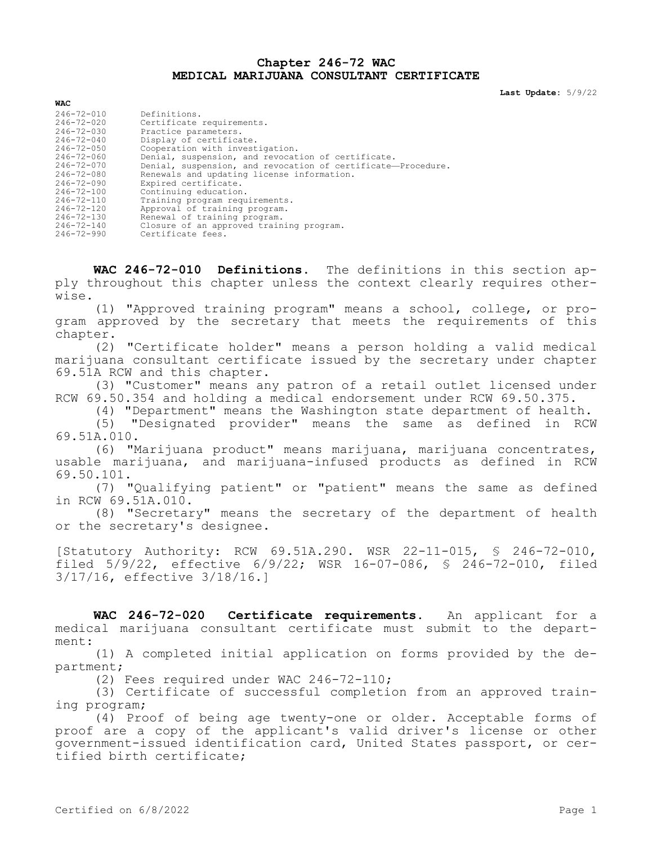## **Chapter 246-72 WAC MEDICAL MARIJUANA CONSULTANT CERTIFICATE**

**Last Update:** 5/9/22

| <b>WAC</b>       |                                                              |
|------------------|--------------------------------------------------------------|
| $246 - 72 - 010$ | Definitions.                                                 |
| $246 - 72 - 020$ | Certificate requirements.                                    |
| $246 - 72 - 030$ | Practice parameters.                                         |
| $246 - 72 - 040$ | Display of certificate.                                      |
| $246 - 72 - 050$ | Cooperation with investigation.                              |
| 246-72-060       | Denial, suspension, and revocation of certificate.           |
| $246 - 72 - 070$ | Denial, suspension, and revocation of certificate-Procedure. |
| $246 - 72 - 080$ | Renewals and updating license information.                   |
| $246 - 72 - 090$ | Expired certificate.                                         |
| $246 - 72 - 100$ | Continuing education.                                        |
| 246-72-110       | Training program requirements.                               |
| $246 - 72 - 120$ | Approval of training program.                                |
| $246 - 72 - 130$ | Renewal of training program.                                 |
| 246-72-140       | Closure of an approved training program.                     |
| $246 - 72 - 990$ | Certificate fees.                                            |

**WAC 246-72-010 Definitions.** The definitions in this section apply throughout this chapter unless the context clearly requires otherwise.

(1) "Approved training program" means a school, college, or program approved by the secretary that meets the requirements of this chapter.

(2) "Certificate holder" means a person holding a valid medical marijuana consultant certificate issued by the secretary under chapter 69.51A RCW and this chapter.

(3) "Customer" means any patron of a retail outlet licensed under RCW 69.50.354 and holding a medical endorsement under RCW 69.50.375.

(4) "Department" means the Washington state department of health.

(5) "Designated provider" means the same as defined in RCW 69.51A.010.

(6) "Marijuana product" means marijuana, marijuana concentrates, usable marijuana, and marijuana-infused products as defined in RCW 69.50.101.

(7) "Qualifying patient" or "patient" means the same as defined in RCW 69.51A.010.

(8) "Secretary" means the secretary of the department of health or the secretary's designee.

[Statutory Authority: RCW 69.51A.290. WSR 22-11-015, § 246-72-010, filed 5/9/22, effective 6/9/22; WSR 16-07-086, § 246-72-010, filed 3/17/16, effective 3/18/16.]

**WAC 246-72-020 Certificate requirements.** An applicant for a medical marijuana consultant certificate must submit to the department:

(1) A completed initial application on forms provided by the department;

(2) Fees required under WAC 246-72-110;

(3) Certificate of successful completion from an approved training program;

(4) Proof of being age twenty-one or older. Acceptable forms of proof are a copy of the applicant's valid driver's license or other government-issued identification card, United States passport, or certified birth certificate;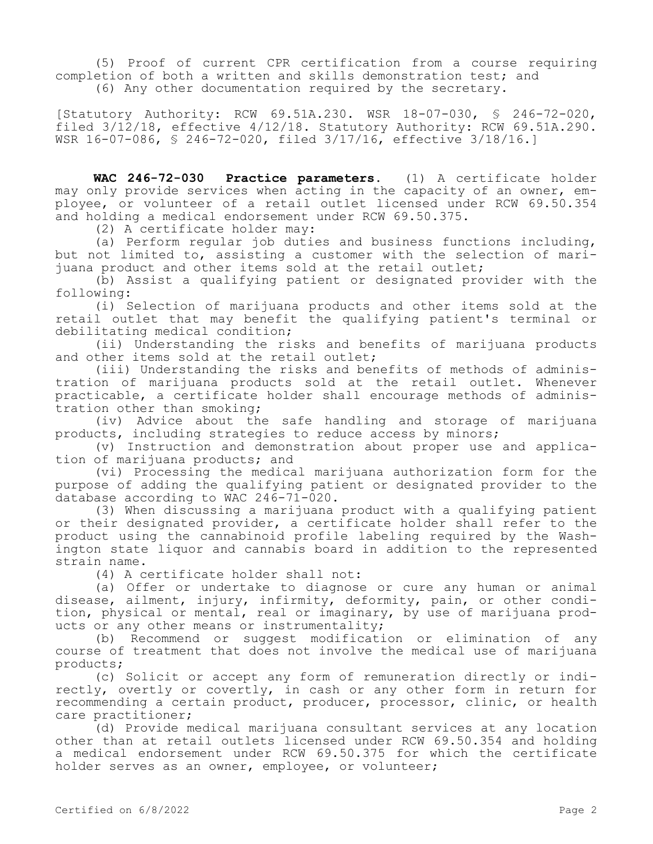(5) Proof of current CPR certification from a course requiring completion of both a written and skills demonstration test; and (6) Any other documentation required by the secretary.

[Statutory Authority: RCW 69.51A.230. WSR 18-07-030, § 246-72-020, filed 3/12/18, effective 4/12/18. Statutory Authority: RCW 69.51A.290. WSR 16-07-086, § 246-72-020, filed 3/17/16, effective 3/18/16.]

**WAC 246-72-030 Practice parameters.** (1) A certificate holder may only provide services when acting in the capacity of an owner, employee, or volunteer of a retail outlet licensed under RCW 69.50.354 and holding a medical endorsement under RCW 69.50.375.

(2) A certificate holder may:

(a) Perform regular job duties and business functions including, but not limited to, assisting a customer with the selection of marijuana product and other items sold at the retail outlet;

(b) Assist a qualifying patient or designated provider with the following:

(i) Selection of marijuana products and other items sold at the retail outlet that may benefit the qualifying patient's terminal or debilitating medical condition;

(ii) Understanding the risks and benefits of marijuana products and other items sold at the retail outlet;

(iii) Understanding the risks and benefits of methods of administration of marijuana products sold at the retail outlet. Whenever practicable, a certificate holder shall encourage methods of administration other than smoking;

(iv) Advice about the safe handling and storage of marijuana products, including strategies to reduce access by minors;

(v) Instruction and demonstration about proper use and application of marijuana products; and

(vi) Processing the medical marijuana authorization form for the purpose of adding the qualifying patient or designated provider to the database according to WAC 246-71-020.

(3) When discussing a marijuana product with a qualifying patient or their designated provider, a certificate holder shall refer to the product using the cannabinoid profile labeling required by the Washington state liquor and cannabis board in addition to the represented strain name.

(4) A certificate holder shall not:

(a) Offer or undertake to diagnose or cure any human or animal disease, ailment, injury, infirmity, deformity, pain, or other condition, physical or mental, real or imaginary, by use of marijuana products or any other means or instrumentality;

(b) Recommend or suggest modification or elimination of any course of treatment that does not involve the medical use of marijuana products;

(c) Solicit or accept any form of remuneration directly or indirectly, overtly or covertly, in cash or any other form in return for recommending a certain product, producer, processor, clinic, or health care practitioner;

(d) Provide medical marijuana consultant services at any location other than at retail outlets licensed under RCW 69.50.354 and holding a medical endorsement under RCW 69.50.375 for which the certificate holder serves as an owner, employee, or volunteer;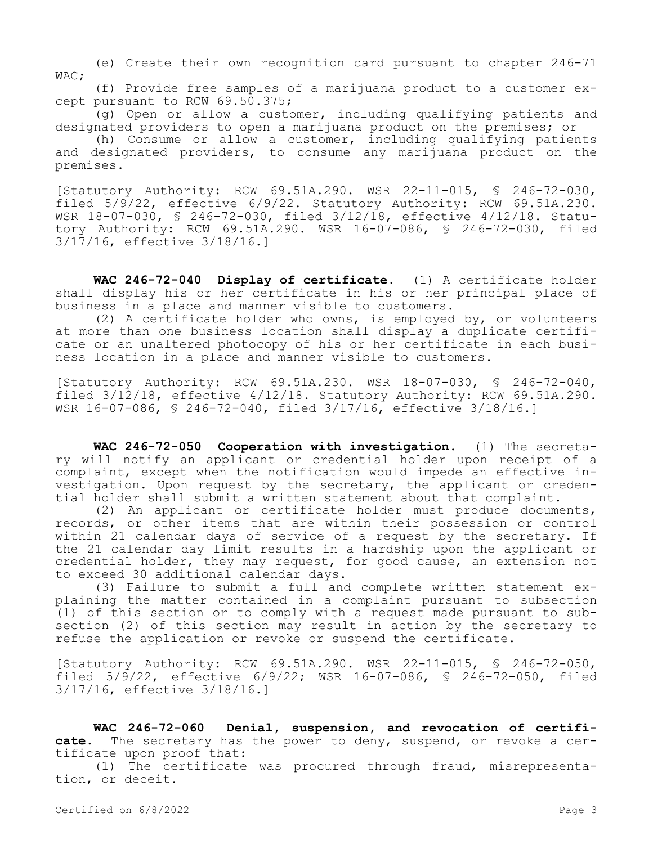(e) Create their own recognition card pursuant to chapter 246-71 WAC;

(f) Provide free samples of a marijuana product to a customer except pursuant to RCW 69.50.375;

(g) Open or allow a customer, including qualifying patients and designated providers to open a marijuana product on the premises; or

(h) Consume or allow a customer, including qualifying patients and designated providers, to consume any marijuana product on the premises.

[Statutory Authority: RCW 69.51A.290. WSR 22-11-015, § 246-72-030, filed 5/9/22, effective 6/9/22. Statutory Authority: RCW 69.51A.230. WSR 18-07-030, § 246-72-030, filed 3/12/18, effective 4/12/18. Statutory Authority: RCW 69.51A.290. WSR 16-07-086, § 246-72-030, filed 3/17/16, effective 3/18/16.]

**WAC 246-72-040 Display of certificate.** (1) A certificate holder shall display his or her certificate in his or her principal place of business in a place and manner visible to customers.

(2) A certificate holder who owns, is employed by, or volunteers at more than one business location shall display a duplicate certificate or an unaltered photocopy of his or her certificate in each business location in a place and manner visible to customers.

[Statutory Authority: RCW 69.51A.230. WSR 18-07-030, § 246-72-040, filed 3/12/18, effective 4/12/18. Statutory Authority: RCW 69.51A.290. WSR 16-07-086, § 246-72-040, filed 3/17/16, effective 3/18/16.]

**WAC 246-72-050 Cooperation with investigation.** (1) The secretary will notify an applicant or credential holder upon receipt of a complaint, except when the notification would impede an effective investigation. Upon request by the secretary, the applicant or credential holder shall submit a written statement about that complaint.

(2) An applicant or certificate holder must produce documents, records, or other items that are within their possession or control within 21 calendar days of service of a request by the secretary. If the 21 calendar day limit results in a hardship upon the applicant or credential holder, they may request, for good cause, an extension not to exceed 30 additional calendar days.

(3) Failure to submit a full and complete written statement explaining the matter contained in a complaint pursuant to subsection (1) of this section or to comply with a request made pursuant to subsection (2) of this section may result in action by the secretary to refuse the application or revoke or suspend the certificate.

[Statutory Authority: RCW 69.51A.290. WSR 22-11-015, § 246-72-050, filed 5/9/22, effective 6/9/22; WSR 16-07-086, § 246-72-050, filed 3/17/16, effective 3/18/16.]

**WAC 246-72-060 Denial, suspension, and revocation of certificate.** The secretary has the power to deny, suspend, or revoke a certificate upon proof that:

(1) The certificate was procured through fraud, misrepresentation, or deceit.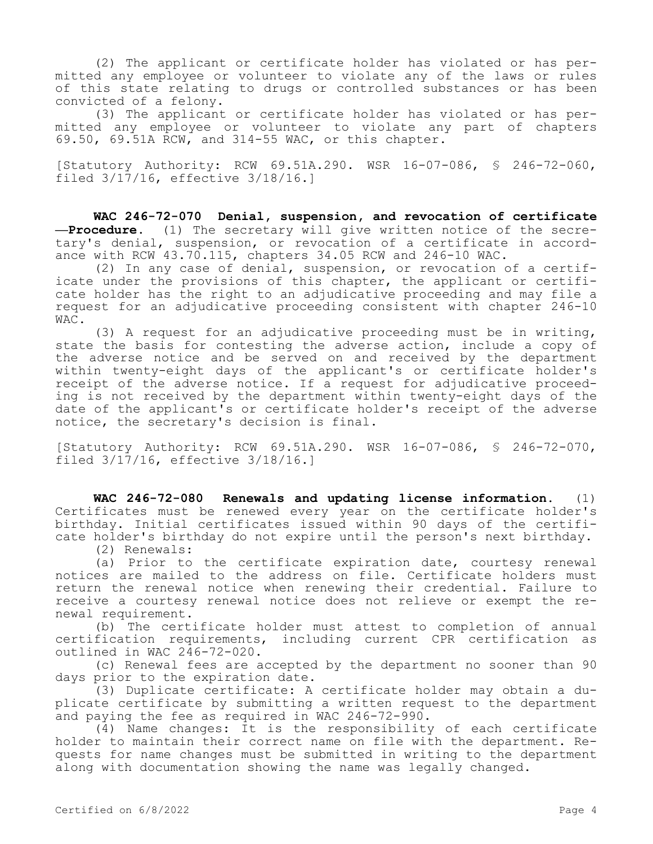(2) The applicant or certificate holder has violated or has permitted any employee or volunteer to violate any of the laws or rules of this state relating to drugs or controlled substances or has been convicted of a felony.

(3) The applicant or certificate holder has violated or has permitted any employee or volunteer to violate any part of chapters 69.50, 69.51A RCW, and 314-55 WAC, or this chapter.

[Statutory Authority: RCW 69.51A.290. WSR 16-07-086, § 246-72-060, filed 3/17/16, effective 3/18/16.]

**WAC 246-72-070 Denial, suspension, and revocation of certificate —Procedure.** (1) The secretary will give written notice of the secretary's denial, suspension, or revocation of a certificate in accordance with RCW 43.70.115, chapters 34.05 RCW and 246-10 WAC.

(2) In any case of denial, suspension, or revocation of a certificate under the provisions of this chapter, the applicant or certificate holder has the right to an adjudicative proceeding and may file a request for an adjudicative proceeding consistent with chapter 246-10 WAC.

(3) A request for an adjudicative proceeding must be in writing, state the basis for contesting the adverse action, include a copy of the adverse notice and be served on and received by the department within twenty-eight days of the applicant's or certificate holder's receipt of the adverse notice. If a request for adjudicative proceeding is not received by the department within twenty-eight days of the date of the applicant's or certificate holder's receipt of the adverse notice, the secretary's decision is final.

[Statutory Authority: RCW 69.51A.290. WSR 16-07-086, § 246-72-070, filed 3/17/16, effective 3/18/16.]

**WAC 246-72-080 Renewals and updating license information.** (1) Certificates must be renewed every year on the certificate holder's birthday. Initial certificates issued within 90 days of the certificate holder's birthday do not expire until the person's next birthday.

(2) Renewals:

(a) Prior to the certificate expiration date, courtesy renewal notices are mailed to the address on file. Certificate holders must return the renewal notice when renewing their credential. Failure to receive a courtesy renewal notice does not relieve or exempt the renewal requirement.

(b) The certificate holder must attest to completion of annual certification requirements, including current CPR certification as outlined in WAC 246-72-020.

(c) Renewal fees are accepted by the department no sooner than 90 days prior to the expiration date.

(3) Duplicate certificate: A certificate holder may obtain a duplicate certificate by submitting a written request to the department and paying the fee as required in WAC 246-72-990.

(4) Name changes: It is the responsibility of each certificate holder to maintain their correct name on file with the department. Requests for name changes must be submitted in writing to the department along with documentation showing the name was legally changed.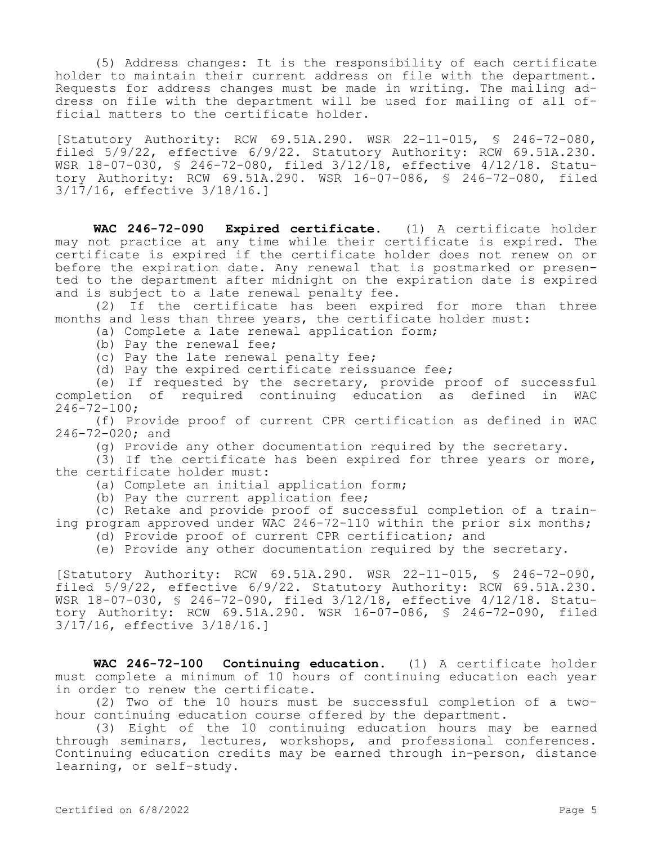(5) Address changes: It is the responsibility of each certificate holder to maintain their current address on file with the department. Requests for address changes must be made in writing. The mailing address on file with the department will be used for mailing of all official matters to the certificate holder.

[Statutory Authority: RCW 69.51A.290. WSR 22-11-015, § 246-72-080, filed 5/9/22, effective 6/9/22. Statutory Authority: RCW 69.51A.230. WSR 18-07-030, § 246-72-080, filed 3/12/18, effective 4/12/18. Statutory Authority: RCW 69.51A.290. WSR 16-07-086, § 246-72-080, filed 3/17/16, effective 3/18/16.]

**WAC 246-72-090 Expired certificate.** (1) A certificate holder may not practice at any time while their certificate is expired. The certificate is expired if the certificate holder does not renew on or before the expiration date. Any renewal that is postmarked or presented to the department after midnight on the expiration date is expired and is subject to a late renewal penalty fee.

(2) If the certificate has been expired for more than three months and less than three years, the certificate holder must:

(a) Complete a late renewal application form;

(b) Pay the renewal fee;

(c) Pay the late renewal penalty fee;

(d) Pay the expired certificate reissuance fee;

(e) If requested by the secretary, provide proof of successful<br>etion of required continuing education as defined in WAC completion of required continuing education as defined in WAC 246-72-100;

(f) Provide proof of current CPR certification as defined in WAC 246-72-020; and

(g) Provide any other documentation required by the secretary.

(3) If the certificate has been expired for three years or more, the certificate holder must:

(a) Complete an initial application form;

(b) Pay the current application fee;

(c) Retake and provide proof of successful completion of a training program approved under WAC 246-72-110 within the prior six months;

(d) Provide proof of current CPR certification; and

(e) Provide any other documentation required by the secretary.

[Statutory Authority: RCW 69.51A.290. WSR 22-11-015, § 246-72-090, filed 5/9/22, effective 6/9/22. Statutory Authority: RCW 69.51A.230. WSR 18-07-030, § 246-72-090, filed 3/12/18, effective 4/12/18. Statutory Authority: RCW 69.51A.290. WSR 16-07-086, § 246-72-090, filed 3/17/16, effective 3/18/16.]

**WAC 246-72-100 Continuing education.** (1) A certificate holder must complete a minimum of 10 hours of continuing education each year in order to renew the certificate.

(2) Two of the 10 hours must be successful completion of a twohour continuing education course offered by the department.

(3) Eight of the 10 continuing education hours may be earned through seminars, lectures, workshops, and professional conferences. Continuing education credits may be earned through in-person, distance learning, or self-study.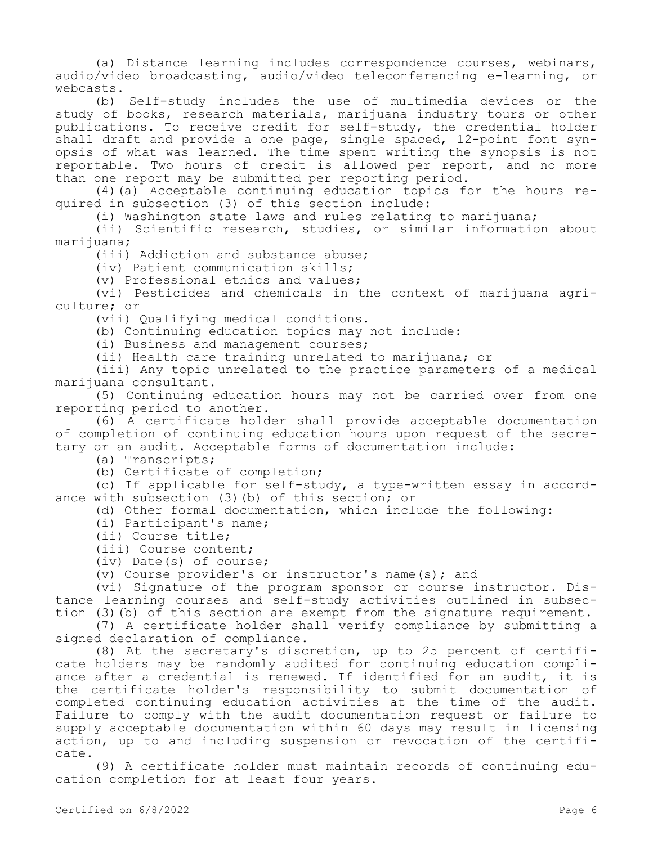(a) Distance learning includes correspondence courses, webinars, audio/video broadcasting, audio/video teleconferencing e-learning, or webcasts.

(b) Self-study includes the use of multimedia devices or the study of books, research materials, marijuana industry tours or other publications. To receive credit for self-study, the credential holder shall draft and provide a one page, single spaced, 12-point font synopsis of what was learned. The time spent writing the synopsis is not reportable. Two hours of credit is allowed per report, and no more than one report may be submitted per reporting period.

(4)(a) Acceptable continuing education topics for the hours required in subsection (3) of this section include:

(i) Washington state laws and rules relating to marijuana;

(ii) Scientific research, studies, or similar information about marijuana;

(iii) Addiction and substance abuse;

(iv) Patient communication skills;

(v) Professional ethics and values;

(vi) Pesticides and chemicals in the context of marijuana agriculture; or

(vii) Qualifying medical conditions.

(b) Continuing education topics may not include:

(i) Business and management courses;

(ii) Health care training unrelated to marijuana; or

(iii) Any topic unrelated to the practice parameters of a medical marijuana consultant.

(5) Continuing education hours may not be carried over from one reporting period to another.

(6) A certificate holder shall provide acceptable documentation of completion of continuing education hours upon request of the secretary or an audit. Acceptable forms of documentation include:

(a) Transcripts;

(b) Certificate of completion;

(c) If applicable for self-study, a type-written essay in accordance with subsection (3)(b) of this section; or

(d) Other formal documentation, which include the following:

(i) Participant's name;

(ii) Course title;

(iii) Course content;

(iv) Date(s) of course;

(v) Course provider's or instructor's name(s); and

(vi) Signature of the program sponsor or course instructor. Distance learning courses and self-study activities outlined in subsection (3)(b) of this section are exempt from the signature requirement.

(7) A certificate holder shall verify compliance by submitting a signed declaration of compliance.

(8) At the secretary's discretion, up to 25 percent of certificate holders may be randomly audited for continuing education compliance after a credential is renewed. If identified for an audit, it is the certificate holder's responsibility to submit documentation of completed continuing education activities at the time of the audit. Failure to comply with the audit documentation request or failure to supply acceptable documentation within 60 days may result in licensing action, up to and including suspension or revocation of the certificate.

(9) A certificate holder must maintain records of continuing education completion for at least four years.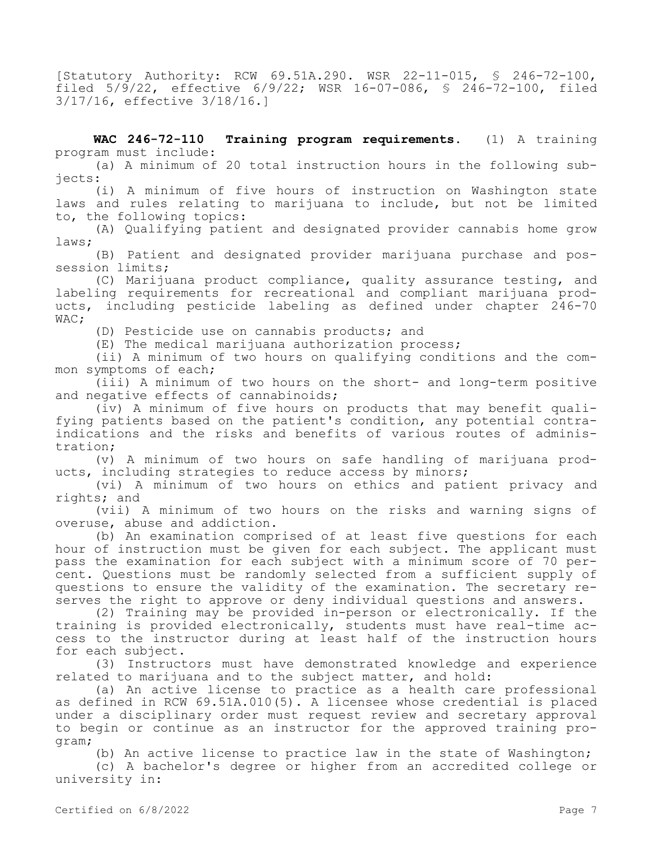[Statutory Authority: RCW 69.51A.290. WSR 22-11-015, § 246-72-100, filed 5/9/22, effective 6/9/22; WSR 16-07-086, § 246-72-100, filed 3/17/16, effective 3/18/16.]

**WAC 246-72-110 Training program requirements.** (1) A training program must include:

(a) A minimum of 20 total instruction hours in the following subjects:

(i) A minimum of five hours of instruction on Washington state laws and rules relating to marijuana to include, but not be limited to, the following topics:

(A) Qualifying patient and designated provider cannabis home grow laws;

(B) Patient and designated provider marijuana purchase and possession limits;

(C) Marijuana product compliance, quality assurance testing, and labeling requirements for recreational and compliant marijuana products, including pesticide labeling as defined under chapter 246-70 WAC;

(D) Pesticide use on cannabis products; and

(E) The medical marijuana authorization process;

(ii) A minimum of two hours on qualifying conditions and the common symptoms of each;

(iii) A minimum of two hours on the short- and long-term positive and negative effects of cannabinoids;

(iv) A minimum of five hours on products that may benefit qualifying patients based on the patient's condition, any potential contraindications and the risks and benefits of various routes of administration;

(v) A minimum of two hours on safe handling of marijuana products, including strategies to reduce access by minors;

(vi) A minimum of two hours on ethics and patient privacy and rights; and

(vii) A minimum of two hours on the risks and warning signs of overuse, abuse and addiction.

(b) An examination comprised of at least five questions for each hour of instruction must be given for each subject. The applicant must pass the examination for each subject with a minimum score of 70 percent. Questions must be randomly selected from a sufficient supply of questions to ensure the validity of the examination. The secretary reserves the right to approve or deny individual questions and answers.

(2) Training may be provided in-person or electronically. If the training is provided electronically, students must have real-time access to the instructor during at least half of the instruction hours for each subject.

(3) Instructors must have demonstrated knowledge and experience related to marijuana and to the subject matter, and hold:

(a) An active license to practice as a health care professional as defined in RCW 69.51A.010(5). A licensee whose credential is placed under a disciplinary order must request review and secretary approval to begin or continue as an instructor for the approved training program;

(b) An active license to practice law in the state of Washington;

(c) A bachelor's degree or higher from an accredited college or university in: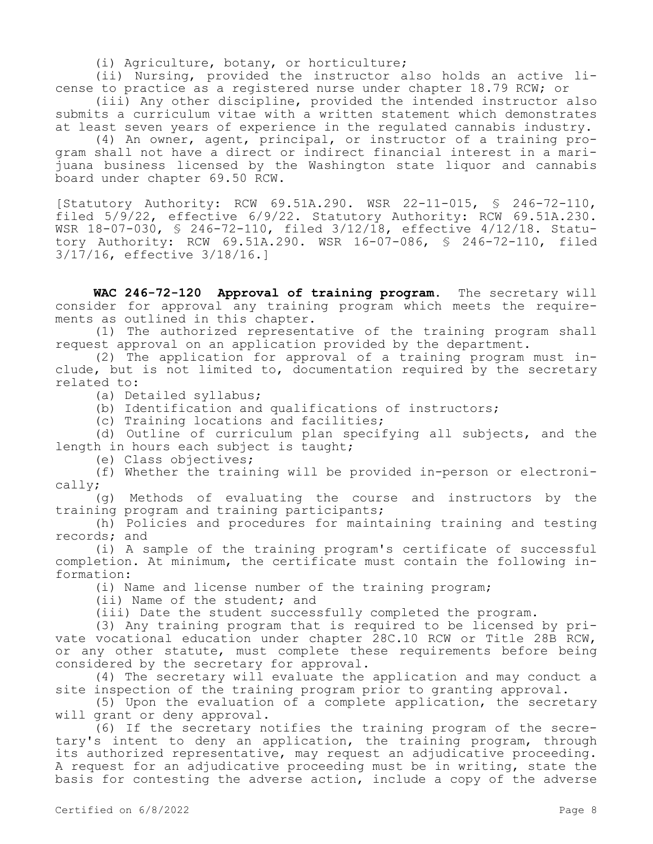(i) Agriculture, botany, or horticulture;

(ii) Nursing, provided the instructor also holds an active license to practice as a registered nurse under chapter 18.79 RCW; or

(iii) Any other discipline, provided the intended instructor also submits a curriculum vitae with a written statement which demonstrates at least seven years of experience in the regulated cannabis industry.

(4) An owner, agent, principal, or instructor of a training program shall not have a direct or indirect financial interest in a marijuana business licensed by the Washington state liquor and cannabis board under chapter 69.50 RCW.

[Statutory Authority: RCW 69.51A.290. WSR 22-11-015, § 246-72-110, filed 5/9/22, effective 6/9/22. Statutory Authority: RCW 69.51A.230. WSR 18-07-030, § 246-72-110, filed 3/12/18, effective 4/12/18. Statutory Authority: RCW 69.51A.290. WSR 16-07-086, § 246-72-110, filed 3/17/16, effective 3/18/16.]

**WAC 246-72-120 Approval of training program.** The secretary will consider for approval any training program which meets the requirements as outlined in this chapter.

(1) The authorized representative of the training program shall request approval on an application provided by the department.

(2) The application for approval of a training program must include, but is not limited to, documentation required by the secretary related to:

(a) Detailed syllabus;

(b) Identification and qualifications of instructors;

(c) Training locations and facilities;

(d) Outline of curriculum plan specifying all subjects, and the length in hours each subject is taught;

(e) Class objectives;

(f) Whether the training will be provided in-person or electronically;

(g) Methods of evaluating the course and instructors by the training program and training participants;

(h) Policies and procedures for maintaining training and testing records; and

(i) A sample of the training program's certificate of successful completion. At minimum, the certificate must contain the following information:

(i) Name and license number of the training program;

(ii) Name of the student; and

(iii) Date the student successfully completed the program.

(3) Any training program that is required to be licensed by private vocational education under chapter 28C.10 RCW or Title 28B RCW, or any other statute, must complete these requirements before being considered by the secretary for approval.

(4) The secretary will evaluate the application and may conduct a site inspection of the training program prior to granting approval.

(5) Upon the evaluation of a complete application, the secretary will grant or deny approval.

(6) If the secretary notifies the training program of the secretary's intent to deny an application, the training program, through its authorized representative, may request an adjudicative proceeding. A request for an adjudicative proceeding must be in writing, state the basis for contesting the adverse action, include a copy of the adverse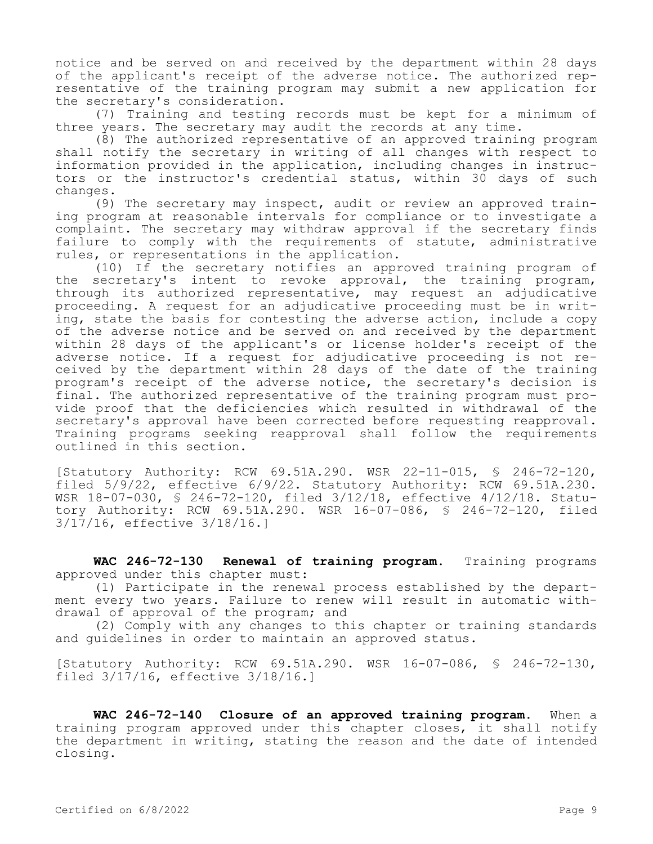notice and be served on and received by the department within 28 days of the applicant's receipt of the adverse notice. The authorized representative of the training program may submit a new application for the secretary's consideration.

(7) Training and testing records must be kept for a minimum of three years. The secretary may audit the records at any time.

(8) The authorized representative of an approved training program shall notify the secretary in writing of all changes with respect to information provided in the application, including changes in instructors or the instructor's credential status, within 30 days of such changes.

(9) The secretary may inspect, audit or review an approved training program at reasonable intervals for compliance or to investigate a complaint. The secretary may withdraw approval if the secretary finds failure to comply with the requirements of statute, administrative rules, or representations in the application.

(10) If the secretary notifies an approved training program of the secretary's intent to revoke approval, the training program, through its authorized representative, may request an adjudicative proceeding. A request for an adjudicative proceeding must be in writing, state the basis for contesting the adverse action, include a copy of the adverse notice and be served on and received by the department within 28 days of the applicant's or license holder's receipt of the adverse notice. If a request for adjudicative proceeding is not received by the department within 28 days of the date of the training program's receipt of the adverse notice, the secretary's decision is final. The authorized representative of the training program must provide proof that the deficiencies which resulted in withdrawal of the secretary's approval have been corrected before requesting reapproval. Training programs seeking reapproval shall follow the requirements outlined in this section.

[Statutory Authority: RCW 69.51A.290. WSR 22-11-015, § 246-72-120, filed 5/9/22, effective 6/9/22. Statutory Authority: RCW 69.51A.230. WSR 18-07-030, § 246-72-120, filed 3/12/18, effective 4/12/18. Statutory Authority: RCW 69.51A.290. WSR 16-07-086, § 246-72-120, filed 3/17/16, effective 3/18/16.]

**WAC 246-72-130 Renewal of training program.** Training programs approved under this chapter must:

(1) Participate in the renewal process established by the department every two years. Failure to renew will result in automatic withdrawal of approval of the program; and

(2) Comply with any changes to this chapter or training standards and guidelines in order to maintain an approved status.

[Statutory Authority: RCW 69.51A.290. WSR 16-07-086, § 246-72-130, filed 3/17/16, effective 3/18/16.]

**WAC 246-72-140 Closure of an approved training program.** When a training program approved under this chapter closes, it shall notify the department in writing, stating the reason and the date of intended closing.